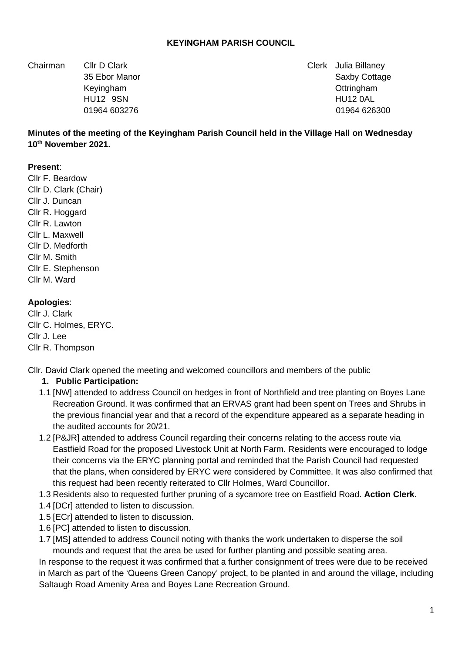### **KEYINGHAM PARISH COUNCIL**

Chairman Cllr D Clark Clerk Julia Billaney

35 Ebor Manor Saxby Cottage 35 Ebor Manor Saxby Cottage 35 Ebor Manor Saxby Cottage 35 Ebor Manor Saxby Cottage Keyingham Ottringham HU12 9SN HU12 0AL 01964 603276 01964 626300

### **Minutes of the meeting of the Keyingham Parish Council held in the Village Hall on Wednesday 10th November 2021.**

#### **Present**:

Cllr F. Beardow Cllr D. Clark (Chair) Cllr J. Duncan Cllr R. Hoggard Cllr R. Lawton Cllr L. Maxwell Cllr D. Medforth Cllr M. Smith Cllr E. Stephenson Cllr M. Ward

#### **Apologies**:

Cllr J. Clark Cllr C. Holmes, ERYC. Cllr J. Lee Cllr R. Thompson

Cllr. David Clark opened the meeting and welcomed councillors and members of the public

### **1. Public Participation:**

- 1.1 [NW] attended to address Council on hedges in front of Northfield and tree planting on Boyes Lane Recreation Ground. It was confirmed that an ERVAS grant had been spent on Trees and Shrubs in the previous financial year and that a record of the expenditure appeared as a separate heading in the audited accounts for 20/21.
- 1.2 [P&JR] attended to address Council regarding their concerns relating to the access route via Eastfield Road for the proposed Livestock Unit at North Farm. Residents were encouraged to lodge their concerns via the ERYC planning portal and reminded that the Parish Council had requested that the plans, when considered by ERYC were considered by Committee. It was also confirmed that this request had been recently reiterated to Cllr Holmes, Ward Councillor.
- 1.3 Residents also to requested further pruning of a sycamore tree on Eastfield Road. **Action Clerk.**
- 1.4 [DCr] attended to listen to discussion.
- 1.5 [ECr] attended to listen to discussion.
- 1.6 [PC] attended to listen to discussion.
- 1.7 [MS] attended to address Council noting with thanks the work undertaken to disperse the soil mounds and request that the area be used for further planting and possible seating area.

In response to the request it was confirmed that a further consignment of trees were due to be received in March as part of the 'Queens Green Canopy' project, to be planted in and around the village, including Saltaugh Road Amenity Area and Boyes Lane Recreation Ground.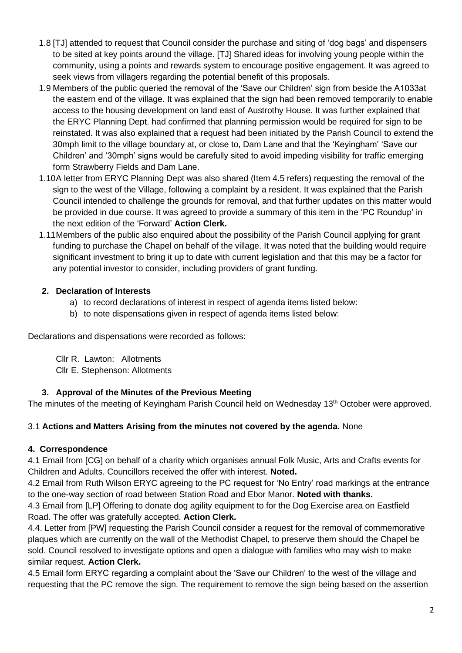- 1.8 [TJ] attended to request that Council consider the purchase and siting of 'dog bags' and dispensers to be sited at key points around the village. [TJ] Shared ideas for involving young people within the community, using a points and rewards system to encourage positive engagement. It was agreed to seek views from villagers regarding the potential benefit of this proposals.
- 1.9 Members of the public queried the removal of the 'Save our Children' sign from beside the A1033at the eastern end of the village. It was explained that the sign had been removed temporarily to enable access to the housing development on land east of Austrothy House. It was further explained that the ERYC Planning Dept. had confirmed that planning permission would be required for sign to be reinstated. It was also explained that a request had been initiated by the Parish Council to extend the 30mph limit to the village boundary at, or close to, Dam Lane and that the 'Keyingham' 'Save our Children' and '30mph' signs would be carefully sited to avoid impeding visibility for traffic emerging form Strawberry Fields and Dam Lane.
- 1.10 A letter from ERYC Planning Dept was also shared (Item 4.5 refers) requesting the removal of the sign to the west of the Village, following a complaint by a resident. It was explained that the Parish Council intended to challenge the grounds for removal, and that further updates on this matter would be provided in due course. It was agreed to provide a summary of this item in the 'PC Roundup' in the next edition of the 'Forward' **Action Clerk.**
- 1.11 Members of the public also enquired about the possibility of the Parish Council applying for grant funding to purchase the Chapel on behalf of the village. It was noted that the building would require significant investment to bring it up to date with current legislation and that this may be a factor for any potential investor to consider, including providers of grant funding.

## **2. Declaration of Interests**

- a) to record declarations of interest in respect of agenda items listed below:
- b) to note dispensations given in respect of agenda items listed below:

Declarations and dispensations were recorded as follows:

Cllr R. Lawton: Allotments Cllr E. Stephenson: Allotments

# **3. Approval of the Minutes of the Previous Meeting**

The minutes of the meeting of Keyingham Parish Council held on Wednesday 13<sup>th</sup> October were approved.

# 3.1 **Actions and Matters Arising from the minutes not covered by the agenda.** None

# **4. Correspondence**

4.1 Email from [CG] on behalf of a charity which organises annual Folk Music, Arts and Crafts events for Children and Adults. Councillors received the offer with interest. **Noted.**

4.2 Email from Ruth Wilson ERYC agreeing to the PC request for 'No Entry' road markings at the entrance to the one-way section of road between Station Road and Ebor Manor. **Noted with thanks.**

4.3 Email from [LP] Offering to donate dog agility equipment to for the Dog Exercise area on Eastfield Road. The offer was gratefully accepted. **Action Clerk.** 

4.4. Letter from [PW] requesting the Parish Council consider a request for the removal of commemorative plaques which are currently on the wall of the Methodist Chapel, to preserve them should the Chapel be sold. Council resolved to investigate options and open a dialogue with families who may wish to make similar request. **Action Clerk.**

4.5 Email form ERYC regarding a complaint about the 'Save our Children' to the west of the village and requesting that the PC remove the sign. The requirement to remove the sign being based on the assertion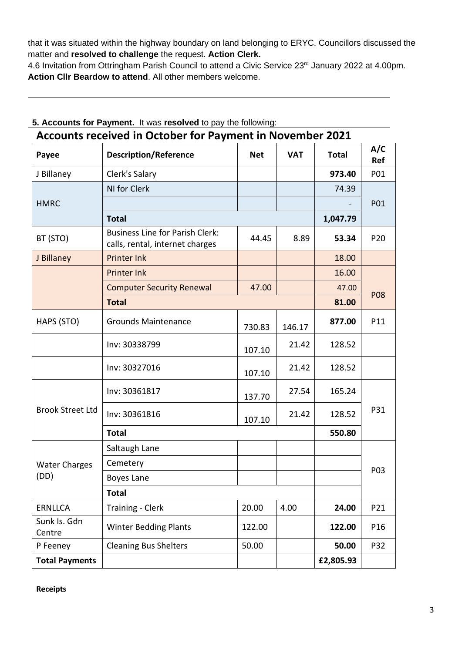that it was situated within the highway boundary on land belonging to ERYC. Councillors discussed the matter and **resolved to challenge** the request. **Action Clerk.** 

4.6 Invitation from Ottringham Parish Council to attend a Civic Service 23<sup>rd</sup> January 2022 at 4.00pm. **Action Cllr Beardow to attend**. All other members welcome.

| <b>Accounts received in October for Payment in November 2021</b> |                                                                           |            |            |              |                   |  |  |
|------------------------------------------------------------------|---------------------------------------------------------------------------|------------|------------|--------------|-------------------|--|--|
| Payee                                                            | <b>Description/Reference</b>                                              | <b>Net</b> | <b>VAT</b> | <b>Total</b> | A/C<br><b>Ref</b> |  |  |
| J Billaney                                                       | Clerk's Salary                                                            |            |            | 973.40       | P01               |  |  |
| <b>HMRC</b>                                                      | NI for Clerk                                                              |            |            | 74.39        | P01               |  |  |
|                                                                  |                                                                           |            |            |              |                   |  |  |
|                                                                  | <b>Total</b>                                                              |            |            | 1,047.79     |                   |  |  |
| BT (STO)                                                         | <b>Business Line for Parish Clerk:</b><br>calls, rental, internet charges | 44.45      | 8.89       | 53.34        | P <sub>20</sub>   |  |  |
| J Billaney                                                       | <b>Printer Ink</b>                                                        |            |            | 18.00        |                   |  |  |
|                                                                  | <b>Printer Ink</b>                                                        |            |            | 16.00        |                   |  |  |
|                                                                  | <b>Computer Security Renewal</b>                                          | 47.00      |            | 47.00        | <b>P08</b>        |  |  |
|                                                                  | <b>Total</b>                                                              | 81.00      |            |              |                   |  |  |
| HAPS (STO)                                                       | <b>Grounds Maintenance</b>                                                | 730.83     | 146.17     | 877.00       | P11               |  |  |
|                                                                  | Inv: 30338799                                                             | 107.10     | 21.42      | 128.52       |                   |  |  |
|                                                                  | Inv: 30327016                                                             | 107.10     | 21.42      | 128.52       |                   |  |  |
| <b>Brook Street Ltd</b>                                          | Inv: 30361817                                                             | 137.70     | 27.54      | 165.24       | P31               |  |  |
|                                                                  | Inv: 30361816                                                             | 107.10     | 21.42      | 128.52       |                   |  |  |
|                                                                  | <b>Total</b>                                                              |            |            | 550.80       |                   |  |  |
| <b>Water Charges</b><br>(DD)                                     | Saltaugh Lane                                                             |            |            |              | P03               |  |  |
|                                                                  | Cemetery                                                                  |            |            |              |                   |  |  |
|                                                                  | Boyes Lane                                                                |            |            |              |                   |  |  |
|                                                                  | <b>Total</b>                                                              |            |            |              |                   |  |  |
| <b>ERNLLCA</b>                                                   | <b>Training - Clerk</b>                                                   | 20.00      | 4.00       | 24.00        | P21               |  |  |
| Sunk Is. Gdn<br>Centre                                           | <b>Winter Bedding Plants</b>                                              | 122.00     |            | 122.00       | P16               |  |  |
| P Feeney                                                         | <b>Cleaning Bus Shelters</b>                                              | 50.00      |            | 50.00        | P32               |  |  |
| <b>Total Payments</b>                                            |                                                                           |            |            | £2,805.93    |                   |  |  |

### **5. Accounts for Payment.** It was **resolved** to pay the following:

**Receipts**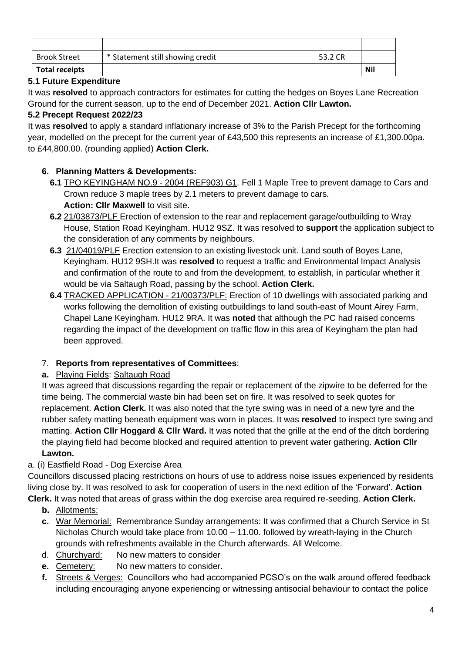| <b>Brook Street</b>   | * Statement still showing credit | 53.2 CR |            |
|-----------------------|----------------------------------|---------|------------|
| <b>Total receipts</b> |                                  |         | <b>Nil</b> |

## **5.1 Future Expenditure**

It was **resolved** to approach contractors for estimates for cutting the hedges on Boyes Lane Recreation Ground for the current season, up to the end of December 2021. **Action Cllr Lawton.**

## **5.2 Precept Request 2022/23**

It was **resolved** to apply a standard inflationary increase of 3% to the Parish Precept for the forthcoming year, modelled on the precept for the current year of £43,500 this represents an increase of £1,300.00pa. to £44,800.00. (rounding applied) **Action Clerk.**

# **6. Planning Matters & Developments:**

- **6.1** TPO KEYINGHAM NO.9 2004 (REF903) G1. Fell 1 Maple Tree to prevent damage to Cars and Crown reduce 3 maple trees by 2.1 meters to prevent damage to cars. **Action: Cllr Maxwell** to visit site**.**
- **6.2** 21/03873/PLF Erection of extension to the rear and replacement garage/outbuilding to Wray House, Station Road Keyingham. HU12 9SZ. It was resolved to **support** the application subject to the consideration of any comments by neighbours.
- **6.3** 21/04019/PLF Erection extension to an existing livestock unit. Land south of Boyes Lane, Keyingham. HU12 9SH.It was **resolved** to request a traffic and Environmental Impact Analysis and confirmation of the route to and from the development, to establish, in particular whether it would be via Saltaugh Road, passing by the school. **Action Clerk.**
- **6.4** TRACKED APPLICATION 21/00373/PLF: Erection of 10 dwellings with associated parking and works following the demolition of existing outbuildings to land south-east of Mount Airey Farm, Chapel Lane Keyingham. HU12 9RA. It was **noted** that although the PC had raised concerns regarding the impact of the development on traffic flow in this area of Keyingham the plan had been approved.

## 7. **Reports from representatives of Committees**:

## **a.** Playing Fields: Saltaugh Road

It was agreed that discussions regarding the repair or replacement of the zipwire to be deferred for the time being. The commercial waste bin had been set on fire. It was resolved to seek quotes for replacement. **Action Clerk.** It was also noted that the tyre swing was in need of a new tyre and the rubber safety matting beneath equipment was worn in places. It was **resolved** to inspect tyre swing and matting. **Action Cllr Hoggard & Cllr Ward.** It was noted that the grille at the end of the ditch bordering the playing field had become blocked and required attention to prevent water gathering. **Action Cllr Lawton.**

# a. (i) Eastfield Road - Dog Exercise Area

Councillors discussed placing restrictions on hours of use to address noise issues experienced by residents living close by. It was resolved to ask for cooperation of users in the next edition of the 'Forward'. **Action Clerk.** It was noted that areas of grass within the dog exercise area required re-seeding. **Action Clerk.** 

- **b.** Allotments:
- **c.** War Memorial: Remembrance Sunday arrangements: It was confirmed that a Church Service in St Nicholas Church would take place from 10.00 – 11.00. followed by wreath-laying in the Church grounds with refreshments available in the Church afterwards. All Welcome.
- d. Churchyard: No new matters to consider
- **e.** Cemetery: No new matters to consider.
- **f.** Streets & Verges: Councillors who had accompanied PCSO's on the walk around offered feedback including encouraging anyone experiencing or witnessing antisocial behaviour to contact the police